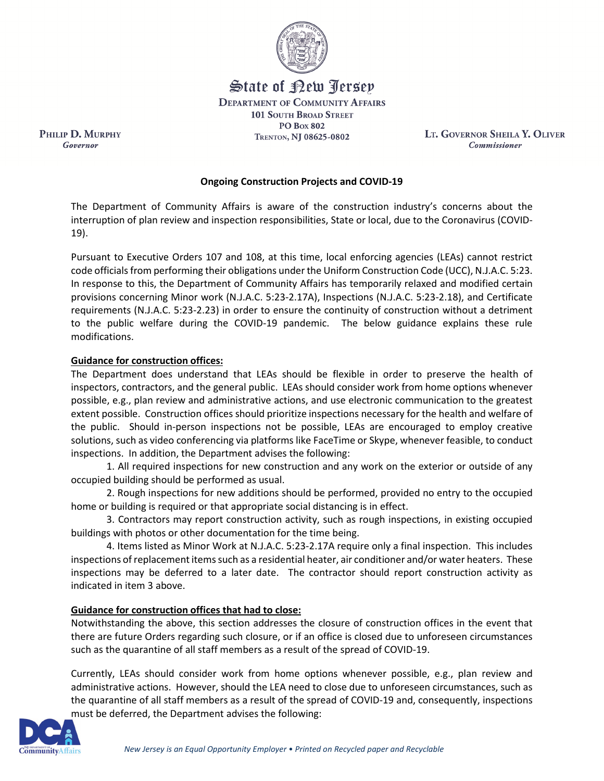

State of Rew <u>Perse</u>p **DEPARTMENT OF COMMUNITY AFFAIRS** 

> **101 SOUTH BROAD STREET PO Box 802** TRENTON, NJ 08625-0802

LT. GOVERNOR SHEILA Y. OLIVER Commissioner

## **Ongoing Construction Projects and COVID-19**

The Department of Community Affairs is aware of the construction industry's concerns about the interruption of plan review and inspection responsibilities, State or local, due to the Coronavirus (COVID-19).

Pursuant to Executive Orders 107 and 108, at this time, local enforcing agencies (LEAs) cannot restrict code officials from performing their obligations under the Uniform Construction Code (UCC), N.J.A.C. 5:23. In response to this, the Department of Community Affairs has temporarily relaxed and modified certain provisions concerning Minor work (N.J.A.C. 5:23-2.17A), Inspections (N.J.A.C. 5:23-2.18), and Certificate requirements (N.J.A.C. 5:23-2.23) in order to ensure the continuity of construction without a detriment to the public welfare during the COVID-19 pandemic. The below guidance explains these rule modifications.

## **Guidance for construction offices:**

PHILIP D. MURPHY

Governor

The Department does understand that LEAs should be flexible in order to preserve the health of inspectors, contractors, and the general public. LEAs should consider work from home options whenever possible, e.g., plan review and administrative actions, and use electronic communication to the greatest extent possible. Construction offices should prioritize inspections necessary for the health and welfare of the public. Should in-person inspections not be possible, LEAs are encouraged to employ creative solutions, such as video conferencing via platforms like FaceTime or Skype, whenever feasible, to conduct inspections. In addition, the Department advises the following:

1. All required inspections for new construction and any work on the exterior or outside of any occupied building should be performed as usual.

2. Rough inspections for new additions should be performed, provided no entry to the occupied home or building is required or that appropriate social distancing is in effect.

3. Contractors may report construction activity, such as rough inspections, in existing occupied buildings with photos or other documentation for the time being.

4. Items listed as Minor Work at N.J.A.C. 5:23-2.17A require only a final inspection. This includes inspections of replacement items such as a residential heater, air conditioner and/or water heaters. These inspections may be deferred to a later date. The contractor should report construction activity as indicated in item 3 above.

## **Guidance for construction offices that had to close:**

Notwithstanding the above, this section addresses the closure of construction offices in the event that there are future Orders regarding such closure, or if an office is closed due to unforeseen circumstances such as the quarantine of all staff members as a result of the spread of COVID-19.

Currently, LEAs should consider work from home options whenever possible, e.g., plan review and administrative actions. However, should the LEA need to close due to unforeseen circumstances, such as the quarantine of all staff members as a result of the spread of COVID-19 and, consequently, inspections must be deferred, the Department advises the following: